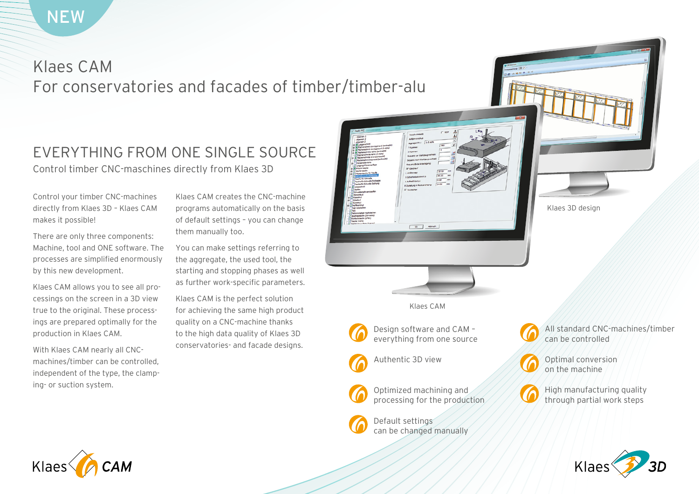# Klaes CAM For conservatories and facades of timber/timber-alu

# EVERYTHING FROM ONE SINGLE SOURCE Control timber CNC-maschines directly from Klaes 3D

Control your timber CNC-machines directly from Klaes 3D – Klaes CAM makes it possible!

There are only three components: Machine, tool and ONE software. The processes are simplified enormously by this new development.

Klaes CAM allows you to see all processings on the screen in a 3D view true to the original. These processings are prepared optimally for the production in Klaes CAM.

With Klaes CAM nearly all CNCmachines/timber can be controlled, independent of the type, the clamping- or suction system.

Klaes CAM creates the CNC-machine programs automatically on the basis of default settings – you can change them manually too.

You can make settings referring to the aggregate, the used tool, the starting and stopping phases as well as further work-specific parameters.

Klaes CAM is the perfect solution for achieving the same high product quality on a CNC-machine thanks to the high data quality of Klaes 3D conservatories- and facade designs.



Default settings

can be changed manually

can be controlled



High manufacturing quality through partial work steps